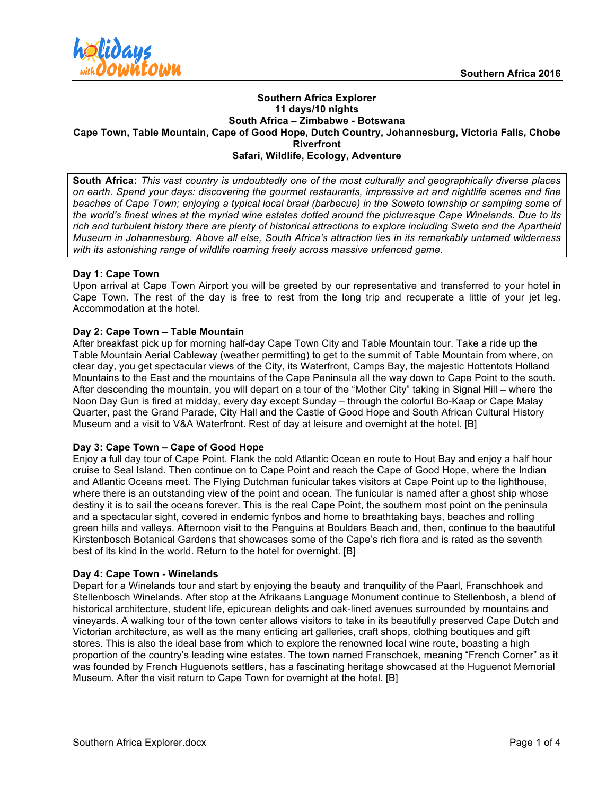

#### **Southern Africa Explorer 11 days/10 nights South Africa – Zimbabwe - Botswana Cape Town, Table Mountain, Cape of Good Hope, Dutch Country, Johannesburg, Victoria Falls, Chobe Riverfront Safari, Wildlife, Ecology, Adventure**

**South Africa:** *This vast country is undoubtedly one of the most culturally and geographically diverse places on earth. Spend your days: discovering the gourmet restaurants, impressive art and nightlife scenes and fine beaches of Cape Town; enjoying a typical local braai (barbecue) in the Soweto township or sampling some of the world's finest wines at the myriad wine estates dotted around the picturesque Cape Winelands. Due to its rich and turbulent history there are plenty of historical attractions to explore including Sweto and the Apartheid Museum in Johannesburg. Above all else, South Africa's attraction lies in its remarkably untamed wilderness with its astonishing range of wildlife roaming freely across massive unfenced game.*

# **Day 1: Cape Town**

Upon arrival at Cape Town Airport you will be greeted by our representative and transferred to your hotel in Cape Town. The rest of the day is free to rest from the long trip and recuperate a little of your jet leg. Accommodation at the hotel.

# **Day 2: Cape Town – Table Mountain**

After breakfast pick up for morning half-day Cape Town City and Table Mountain tour. Take a ride up the Table Mountain Aerial Cableway (weather permitting) to get to the summit of Table Mountain from where, on clear day, you get spectacular views of the City, its Waterfront, Camps Bay, the majestic Hottentots Holland Mountains to the East and the mountains of the Cape Peninsula all the way down to Cape Point to the south. After descending the mountain, you will depart on a tour of the "Mother City" taking in Signal Hill – where the Noon Day Gun is fired at midday, every day except Sunday – through the colorful Bo-Kaap or Cape Malay Quarter, past the Grand Parade, City Hall and the Castle of Good Hope and South African Cultural History Museum and a visit to V&A Waterfront. Rest of day at leisure and overnight at the hotel. [B]

### **Day 3: Cape Town – Cape of Good Hope**

Enjoy a full day tour of Cape Point. Flank the cold Atlantic Ocean en route to Hout Bay and enjoy a half hour cruise to Seal Island. Then continue on to Cape Point and reach the Cape of Good Hope, where the Indian and Atlantic Oceans meet. The Flying Dutchman funicular takes visitors at Cape Point up to the lighthouse, where there is an outstanding view of the point and ocean. The funicular is named after a ghost ship whose destiny it is to sail the oceans forever. This is the real Cape Point, the southern most point on the peninsula and a spectacular sight, covered in endemic fynbos and home to breathtaking bays, beaches and rolling green hills and valleys. Afternoon visit to the Penguins at Boulders Beach and, then, continue to the beautiful Kirstenbosch Botanical Gardens that showcases some of the Cape's rich flora and is rated as the seventh best of its kind in the world. Return to the hotel for overnight. [B]

### **Day 4: Cape Town - Winelands**

Depart for a Winelands tour and start by enjoying the beauty and tranquility of the Paarl, Franschhoek and Stellenbosch Winelands. After stop at the Afrikaans Language Monument continue to Stellenbosh, a blend of historical architecture, student life, epicurean delights and oak-lined avenues surrounded by mountains and vineyards. A walking tour of the town center allows visitors to take in its beautifully preserved Cape Dutch and Victorian architecture, as well as the many enticing art galleries, craft shops, clothing boutiques and gift stores. This is also the ideal base from which to explore the renowned local wine route, boasting a high proportion of the country's leading wine estates. The town named Franschoek, meaning "French Corner" as it was founded by French Huguenots settlers, has a fascinating heritage showcased at the Huguenot Memorial Museum. After the visit return to Cape Town for overnight at the hotel. [B]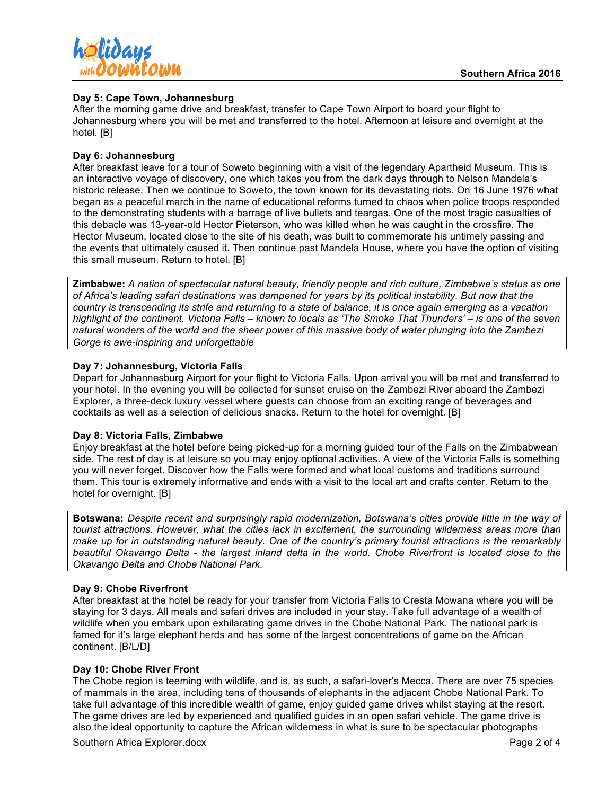

### **Day 5: Cape Town, Johannesburg**

After the morning game drive and breakfast, transfer to Cape Town Airport to board your flight to Johannesburg where you will be met and transferred to the hotel. Afternoon at leisure and overnight at the hotel. [B]

# **Day 6: Johannesburg**

After breakfast leave for a tour of Soweto beginning with a visit of the legendary Apartheid Museum. This is an interactive voyage of discovery, one which takes you from the dark days through to Nelson Mandela's historic release. Then we continue to Soweto, the town known for its devastating riots. On 16 June 1976 what began as a peaceful march in the name of educational reforms turned to chaos when police troops responded to the demonstrating students with a barrage of live bullets and teargas. One of the most tragic casualties of this debacle was 13-year-old Hector Pieterson, who was killed when he was caught in the crossfire. The Hector Museum, located close to the site of his death, was built to commemorate his untimely passing and the events that ultimately caused it. Then continue past Mandela House, where you have the option of visiting this small museum. Return to hotel. [B]

**Zimbabwe:** *A nation of spectacular natural beauty, friendly people and rich culture, Zimbabwe's status as one of Africa's leading safari destinations was dampened for years by its political instability. But now that the country is transcending its strife and returning to a state of balance, it is once again emerging as a vacation highlight of the continent. Victoria Falls – known to locals as 'The Smoke That Thunders' – is one of the seven natural wonders of the world and the sheer power of this massive body of water plunging into the Zambezi Gorge is awe-inspiring and unforgettable*

# **Day 7: Johannesburg, Victoria Falls**

Depart for Johannesburg Airport for your flight to Victoria Falls. Upon arrival you will be met and transferred to your hotel. In the evening you will be collected for sunset cruise on the Zambezi River aboard the Zambezi Explorer, a three-deck luxury vessel where guests can choose from an exciting range of beverages and cocktails as well as a selection of delicious snacks. Return to the hotel for overnight. [B]

### **Day 8: Victoria Falls, Zimbabwe**

Enjoy breakfast at the hotel before being picked-up for a morning guided tour of the Falls on the Zimbabwean side. The rest of day is at leisure so you may enjoy optional activities. A view of the Victoria Falls is something you will never forget. Discover how the Falls were formed and what local customs and traditions surround them. This tour is extremely informative and ends with a visit to the local art and crafts center. Return to the hotel for overnight. [B]

**Botswana:** *Despite recent and surprisingly rapid modernization, Botswana's cities provide little in the way of tourist attractions. However, what the cities lack in excitement, the surrounding wilderness areas more than make up for in outstanding natural beauty. One of the country's primary tourist attractions is the remarkably beautiful Okavango Delta - the largest inland delta in the world. Chobe Riverfront is located close to the Okavango Delta and Chobe National Park.* 

### **Day 9: Chobe Riverfront**

After breakfast at the hotel be ready for your transfer from Victoria Falls to Cresta Mowana where you will be staying for 3 days. All meals and safari drives are included in your stay. Take full advantage of a wealth of wildlife when you embark upon exhilarating game drives in the Chobe National Park. The national park is famed for it's large elephant herds and has some of the largest concentrations of game on the African continent. [B/L/D]

### **Day 10: Chobe River Front**

The Chobe region is teeming with wildlife, and is, as such, a safari-lover's Mecca. There are over 75 species of mammals in the area, including tens of thousands of elephants in the adjacent Chobe National Park. To take full advantage of this incredible wealth of game, enjoy guided game drives whilst staying at the resort. The game drives are led by experienced and qualified guides in an open safari vehicle. The game drive is also the ideal opportunity to capture the African wilderness in what is sure to be spectacular photographs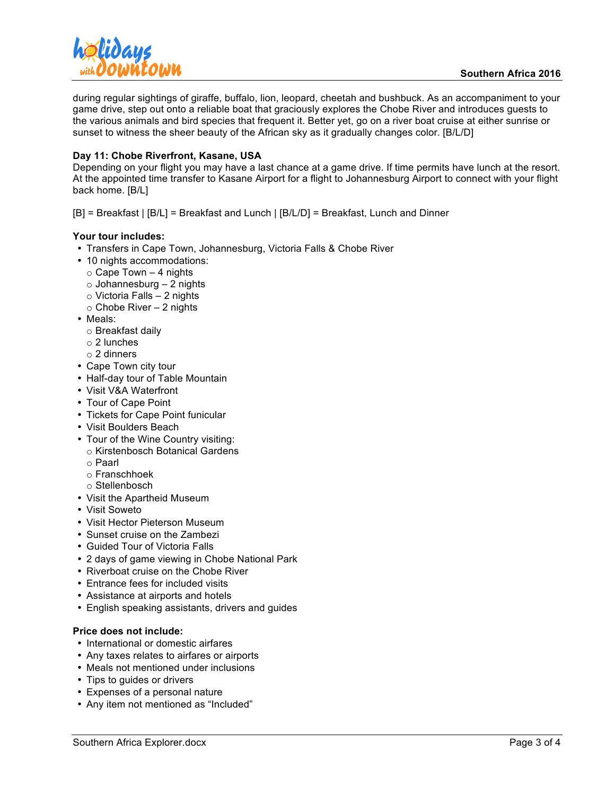

during regular sightings of giraffe, buffalo, lion, leopard, cheetah and bushbuck. As an accompaniment to your game drive, step out onto a reliable boat that graciously explores the Chobe River and introduces guests to the various animals and bird species that frequent it. Better yet, go on a river boat cruise at either sunrise or sunset to witness the sheer beauty of the African sky as it gradually changes color. [B/L/D]

# **Day 11: Chobe Riverfront, Kasane, USA**

Depending on your flight you may have a last chance at a game drive. If time permits have lunch at the resort. At the appointed time transfer to Kasane Airport for a flight to Johannesburg Airport to connect with your flight back home. [B/L]

[B] = Breakfast | [B/L] = Breakfast and Lunch | [B/L/D] = Breakfast, Lunch and Dinner

### **Your tour includes:**

- Transfers in Cape Town, Johannesburg, Victoria Falls & Chobe River
- 10 nights accommodations:
	- $\circ$  Cape Town 4 nights
	- $\circ$  Johannesburg 2 nights
	- o Victoria Falls 2 nights
	- $\circ$  Chobe River 2 nights
- Meals:
	- o Breakfast daily
	- o 2 lunches
	- o 2 dinners
- Cape Town city tour
- Half-day tour of Table Mountain
- Visit V&A Waterfront
- Tour of Cape Point
- Tickets for Cape Point funicular
- Visit Boulders Beach
- Tour of the Wine Country visiting:
	- o Kirstenbosch Botanical Gardens
	- o Paarl
	- o Franschhoek
	- o Stellenbosch
- Visit the Apartheid Museum
- Visit Soweto
- Visit Hector Pieterson Museum
- Sunset cruise on the Zambezi
- Guided Tour of Victoria Falls
- 2 days of game viewing in Chobe National Park
- Riverboat cruise on the Chobe River
- Entrance fees for included visits
- Assistance at airports and hotels
- English speaking assistants, drivers and guides

### **Price does not include:**

- International or domestic airfares
- Any taxes relates to airfares or airports
- Meals not mentioned under inclusions
- Tips to guides or drivers
- Expenses of a personal nature
- Any item not mentioned as "Included"